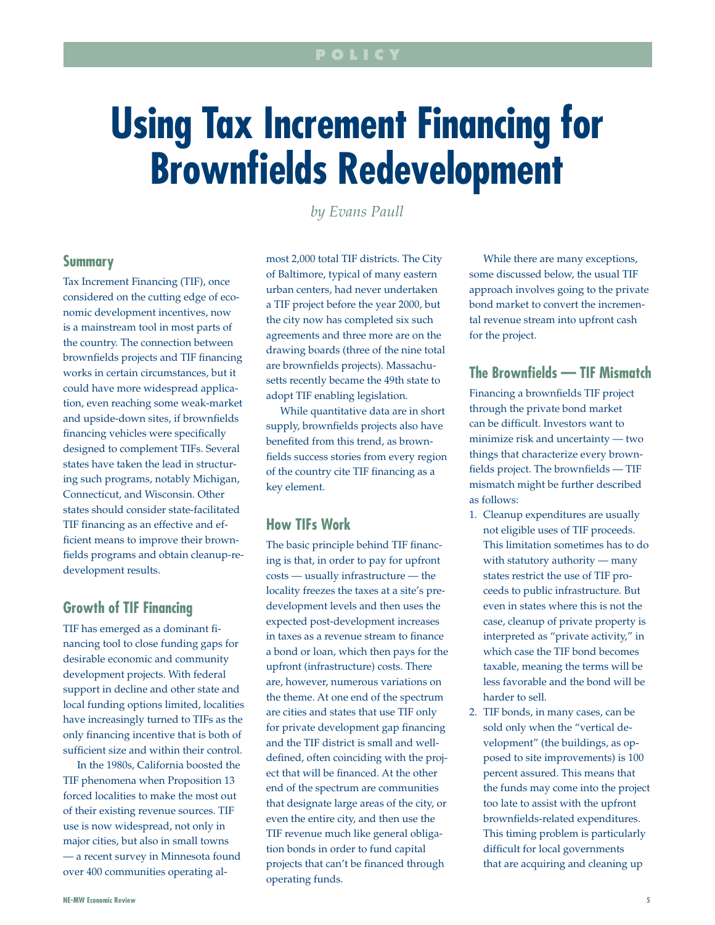# **Using Tax Increment Financing for Brownfields Redevelopment**

*by Evans Paull*

## **Summary**

Tax Increment Financing (TIF), once considered on the cutting edge of economic development incentives, now is a mainstream tool in most parts of the country. The connection between brownfields projects and TIF financing works in certain circumstances, but it could have more widespread application, even reaching some weak-market and upside-down sites, if brownfields financing vehicles were specifically designed to complement TIFs. Several states have taken the lead in structuring such programs, notably Michigan, Connecticut, and Wisconsin. Other states should consider state-facilitated TIF financing as an effective and efficient means to improve their brownfields programs and obtain cleanup-redevelopment results.

## **Growth of TIF Financing**

TIF has emerged as a dominant financing tool to close funding gaps for desirable economic and community development projects. With federal support in decline and other state and local funding options limited, localities have increasingly turned to TIFs as the only financing incentive that is both of sufficient size and within their control.

In the 1980s, California boosted the TIF phenomena when Proposition 13 forced localities to make the most out of their existing revenue sources. TIF use is now widespread, not only in major cities, but also in small towns — a recent survey in Minnesota found over 400 communities operating almost 2,000 total TIF districts. The City of Baltimore, typical of many eastern urban centers, had never undertaken a TIF project before the year 2000, but the city now has completed six such agreements and three more are on the drawing boards (three of the nine total are brownfields projects). Massachusetts recently became the 49th state to adopt TIF enabling legislation.

While quantitative data are in short supply, brownfields projects also have benefited from this trend, as brownfields success stories from every region of the country cite TIF financing as a key element.

# **How TIFs Work**

The basic principle behind TIF financing is that, in order to pay for upfront costs — usually infrastructure — the locality freezes the taxes at a site's predevelopment levels and then uses the expected post-development increases in taxes as a revenue stream to finance a bond or loan, which then pays for the upfront (infrastructure) costs. There are, however, numerous variations on the theme. At one end of the spectrum are cities and states that use TIF only for private development gap financing and the TIF district is small and welldefined, often coinciding with the project that will be financed. At the other end of the spectrum are communities that designate large areas of the city, or even the entire city, and then use the TIF revenue much like general obligation bonds in order to fund capital projects that can't be financed through operating funds.

While there are many exceptions, some discussed below, the usual TIF approach involves going to the private bond market to convert the incremental revenue stream into upfront cash for the project.

# **The Brownfields — TIF Mismatch**

Financing a brownfields TIF project through the private bond market can be difficult. Investors want to minimize risk and uncertainty — two things that characterize every brownfields project. The brownfields — TIF mismatch might be further described as follows:

- 1. Cleanup expenditures are usually not eligible uses of TIF proceeds. This limitation sometimes has to do with statutory authority — many states restrict the use of TIF proceeds to public infrastructure. But even in states where this is not the case, cleanup of private property is interpreted as "private activity," in which case the TIF bond becomes taxable, meaning the terms will be less favorable and the bond will be harder to sell.
- 2. TIF bonds, in many cases, can be sold only when the "vertical development" (the buildings, as opposed to site improvements) is 100 percent assured. This means that the funds may come into the project too late to assist with the upfront brownfields-related expenditures. This timing problem is particularly difficult for local governments that are acquiring and cleaning up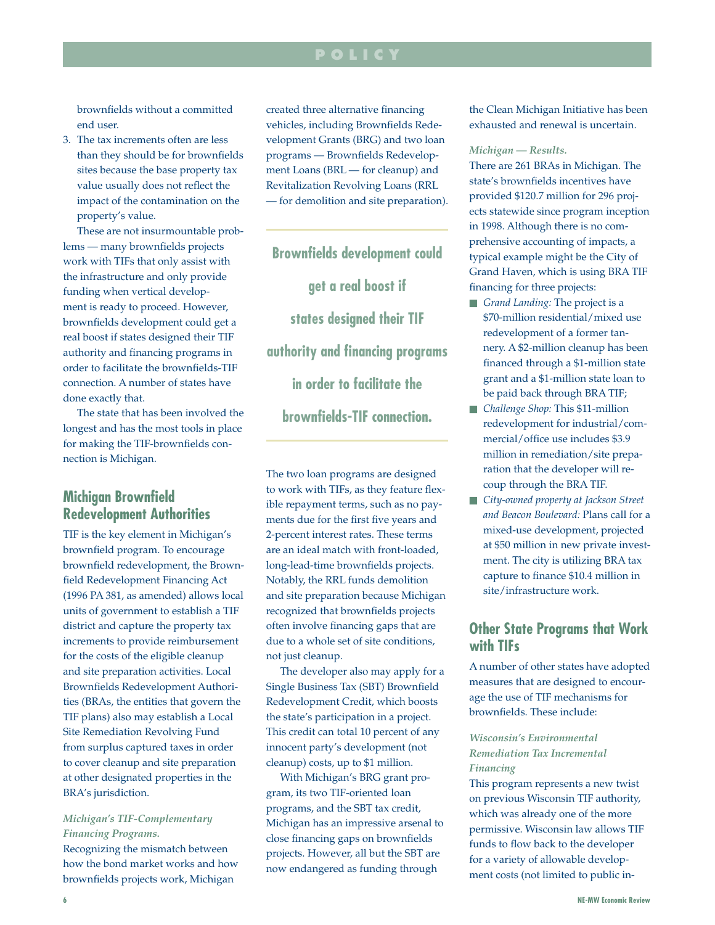# **p o l i c y**

brownfields without a committed end user.

3. The tax increments often are less than they should be for brownfields sites because the base property tax value usually does not reflect the impact of the contamination on the property's value.

These are not insurmountable problems — many brownfields projects work with TIFs that only assist with the infrastructure and only provide funding when vertical development is ready to proceed. However, brownfields development could get a real boost if states designed their TIF authority and financing programs in order to facilitate the brownfields-TIF connection. A number of states have done exactly that.

The state that has been involved the longest and has the most tools in place for making the TIF-brownfields connection is Michigan.

# **Michigan Brownfield Redevelopment Authorities**

TIF is the key element in Michigan's brownfield program. To encourage brownfield redevelopment, the Brownfield Redevelopment Financing Act (1996 PA 381, as amended) allows local units of government to establish a TIF district and capture the property tax increments to provide reimbursement for the costs of the eligible cleanup and site preparation activities. Local Brownfields Redevelopment Authorities (BRAs, the entities that govern the TIF plans) also may establish a Local Site Remediation Revolving Fund from surplus captured taxes in order to cover cleanup and site preparation at other designated properties in the BRA's jurisdiction.

## *Michigan's TIF-Complementary Financing Programs.*

Recognizing the mismatch between how the bond market works and how brownfields projects work, Michigan

created three alternative financing vehicles, including Brownfields Redevelopment Grants (BRG) and two loan programs — Brownfields Redevelopment Loans (BRL — for cleanup) and Revitalization Revolving Loans (RRL — for demolition and site preparation).

**Brownfields development could get a real boost if states designed their TIF authority and financing programs in order to facilitate the brownfields-TIF connection.** 

The two loan programs are designed to work with TIFs, as they feature flexible repayment terms, such as no payments due for the first five years and 2-percent interest rates. These terms are an ideal match with front-loaded, long-lead-time brownfields projects. Notably, the RRL funds demolition and site preparation because Michigan recognized that brownfields projects often involve financing gaps that are due to a whole set of site conditions, not just cleanup.

The developer also may apply for a Single Business Tax (SBT) Brownfield Redevelopment Credit, which boosts the state's participation in a project. This credit can total 10 percent of any innocent party's development (not cleanup) costs, up to \$1 million.

With Michigan's BRG grant program, its two TIF-oriented loan programs, and the SBT tax credit, Michigan has an impressive arsenal to close financing gaps on brownfields projects. However, all but the SBT are now endangered as funding through

the Clean Michigan Initiative has been exhausted and renewal is uncertain.

#### *Michigan — Results.*

There are 261 BRAs in Michigan. The state's brownfields incentives have provided \$120.7 million for 296 projects statewide since program inception in 1998. Although there is no comprehensive accounting of impacts, a typical example might be the City of Grand Haven, which is using BRA TIF financing for three projects:

- **n** *Grand Landing*: The project is a \$70-million residential/mixed use redevelopment of a former tannery. A \$2-million cleanup has been financed through a \$1-million state grant and a \$1-million state loan to be paid back through BRA TIF;
- n *Challenge Shop:* This \$11-million redevelopment for industrial/commercial/office use includes \$3.9 million in remediation/site preparation that the developer will recoup through the BRA TIF.
- n *City-owned property at Jackson Street and Beacon Boulevard:* Plans call for a mixed-use development, projected at \$50 million in new private investment. The city is utilizing BRA tax capture to finance \$10.4 million in site/infrastructure work.

# **Other State Programs that Work with TIFs**

A number of other states have adopted measures that are designed to encourage the use of TIF mechanisms for brownfields. These include:

## *Wisconsin's Environmental Remediation Tax Incremental Financing*

This program represents a new twist on previous Wisconsin TIF authority, which was already one of the more permissive. Wisconsin law allows TIF funds to flow back to the developer for a variety of allowable development costs (not limited to public in-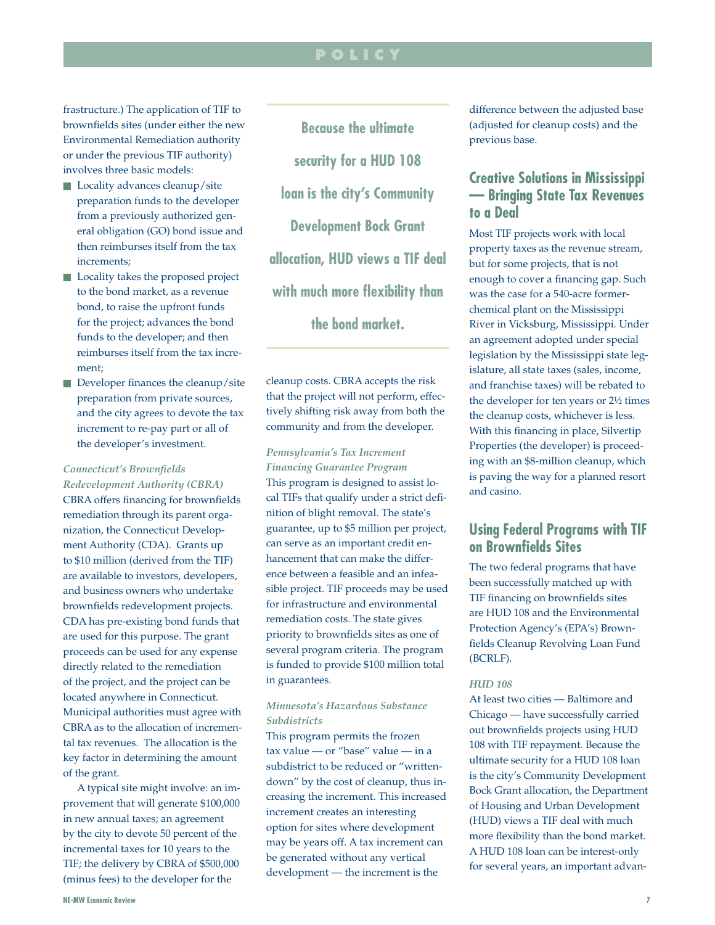# **p o l i c y**

frastructure.) The application of TIF to brownfields sites (under either the new Environmental Remediation authority or under the previous TIF authority) involves three basic models:

- $\blacksquare$  Locality advances cleanup/site preparation funds to the developer from a previously authorized general obligation (GO) bond issue and then reimburses itself from the tax increments;
- Locality takes the proposed project to the bond market, as a revenue bond, to raise the upfront funds for the project; advances the bond funds to the developer; and then reimburses itself from the tax increment;
- $\blacksquare$  Developer finances the cleanup/site preparation from private sources, and the city agrees to devote the tax increment to re-pay part or all of the developer's investment.

## *Connecticut's Brownfields Redevelopment Authority (CBRA)*

CBRA offers financing for brownfields remediation through its parent organization, the Connecticut Development Authority (CDA). Grants up to \$10 million (derived from the TIF) are available to investors, developers, and business owners who undertake brownfields redevelopment projects. CDA has pre-existing bond funds that are used for this purpose. The grant proceeds can be used for any expense directly related to the remediation of the project, and the project can be located anywhere in Connecticut. Municipal authorities must agree with CBRA as to the allocation of incremental tax revenues. The allocation is the key factor in determining the amount of the grant.

A typical site might involve: an improvement that will generate \$100,000 in new annual taxes; an agreement by the city to devote 50 percent of the incremental taxes for 10 years to the TIF; the delivery by CBRA of \$500,000 (minus fees) to the developer for the

**Because the ultimate security for a HUD 108 loan is the city's Community Development Bock Grant allocation, HUD views a TIF deal with much more flexibility than the bond market.** 

cleanup costs. CBRA accepts the risk that the project will not perform, effectively shifting risk away from both the community and from the developer.

*Pennsylvania's Tax Increment Financing Guarantee Program* This program is designed to assist local TIFs that qualify under a strict definition of blight removal. The state's guarantee, up to \$5 million per project, can serve as an important credit enhancement that can make the difference between a feasible and an infeasible project. TIF proceeds may be used for infrastructure and environmental remediation costs. The state gives priority to brownfields sites as one of several program criteria. The program is funded to provide \$100 million total in guarantees.

## *Minnesota's Hazardous Substance Subdistricts*

This program permits the frozen tax value — or "base" value — in a subdistrict to be reduced or "writtendown" by the cost of cleanup, thus increasing the increment. This increased increment creates an interesting option for sites where development may be years off. A tax increment can be generated without any vertical development — the increment is the

difference between the adjusted base (adjusted for cleanup costs) and the previous base.

# **Creative Solutions in Mississippi — Bringing State Tax Revenues to a Deal**

Most TIF projects work with local property taxes as the revenue stream, but for some projects, that is not enough to cover a financing gap. Such was the case for a 540-acre formerchemical plant on the Mississippi River in Vicksburg, Mississippi. Under an agreement adopted under special legislation by the Mississippi state legislature, all state taxes (sales, income, and franchise taxes) will be rebated to the developer for ten years or 2½ times the cleanup costs, whichever is less. With this financing in place, Silvertip Properties (the developer) is proceeding with an \$8-million cleanup, which is paving the way for a planned resort and casino.

# **Using Federal Programs with TIF on Brownfields Sites**

The two federal programs that have been successfully matched up with TIF financing on brownfields sites are HUD 108 and the Environmental Protection Agency's (EPA's) Brownfields Cleanup Revolving Loan Fund (BCRLF).

### *HUD 108*

At least two cities — Baltimore and Chicago — have successfully carried out brownfields projects using HUD 108 with TIF repayment. Because the ultimate security for a HUD 108 loan is the city's Community Development Bock Grant allocation, the Department of Housing and Urban Development (HUD) views a TIF deal with much more flexibility than the bond market. A HUD 108 loan can be interest-only for several years, an important advan-